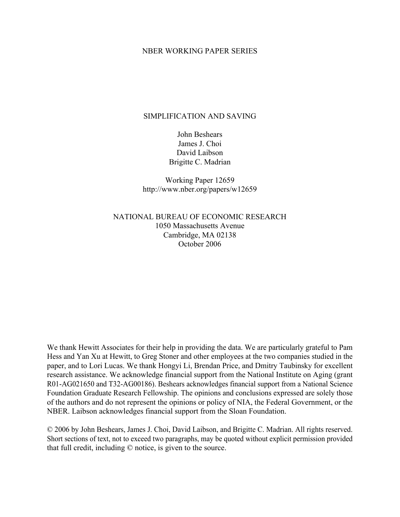# NBER WORKING PAPER SERIES

# SIMPLIFICATION AND SAVING

John Beshears James J. Choi David Laibson Brigitte C. Madrian

Working Paper 12659 http://www.nber.org/papers/w12659

NATIONAL BUREAU OF ECONOMIC RESEARCH 1050 Massachusetts Avenue Cambridge, MA 02138 October 2006

We thank Hewitt Associates for their help in providing the data. We are particularly grateful to Pam Hess and Yan Xu at Hewitt, to Greg Stoner and other employees at the two companies studied in the paper, and to Lori Lucas. We thank Hongyi Li, Brendan Price, and Dmitry Taubinsky for excellent research assistance. We acknowledge financial support from the National Institute on Aging (grant R01-AG021650 and T32-AG00186). Beshears acknowledges financial support from a National Science Foundation Graduate Research Fellowship. The opinions and conclusions expressed are solely those of the authors and do not represent the opinions or policy of NIA, the Federal Government, or the NBER. Laibson acknowledges financial support from the Sloan Foundation.

© 2006 by John Beshears, James J. Choi, David Laibson, and Brigitte C. Madrian. All rights reserved. Short sections of text, not to exceed two paragraphs, may be quoted without explicit permission provided that full credit, including © notice, is given to the source.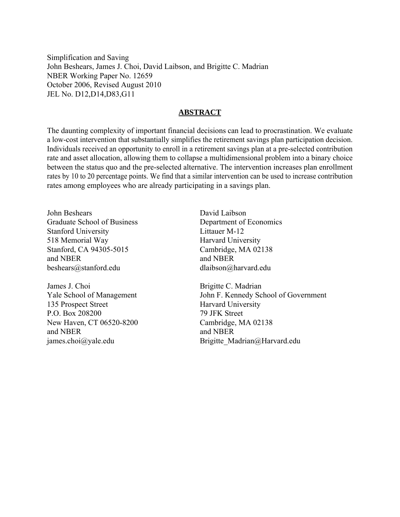Simplification and Saving John Beshears, James J. Choi, David Laibson, and Brigitte C. Madrian NBER Working Paper No. 12659 October 2006, Revised August 2010 JEL No. D12,D14,D83,G11

# **ABSTRACT**

The daunting complexity of important financial decisions can lead to procrastination. We evaluate a low-cost intervention that substantially simplifies the retirement savings plan participation decision. Individuals received an opportunity to enroll in a retirement savings plan at a pre-selected contribution rate and asset allocation, allowing them to collapse a multidimensional problem into a binary choice between the status quo and the pre-selected alternative. The intervention increases plan enrollment rates by 10 to 20 percentage points. We find that a similar intervention can be used to increase contribution rates among employees who are already participating in a savings plan.

John Beshears Graduate School of Business Stanford University 518 Memorial Way Stanford, CA 94305-5015 and NBER beshears@stanford.edu

James J. Choi Yale School of Management 135 Prospect Street P.O. Box 208200 New Haven, CT 06520-8200 and NBER james.choi@yale.edu

David Laibson Department of Economics Littauer M-12 Harvard University Cambridge, MA 02138 and NBER dlaibson@harvard.edu

Brigitte C. Madrian John F. Kennedy School of Government Harvard University 79 JFK Street Cambridge, MA 02138 and NBER Brigitte\_Madrian@Harvard.edu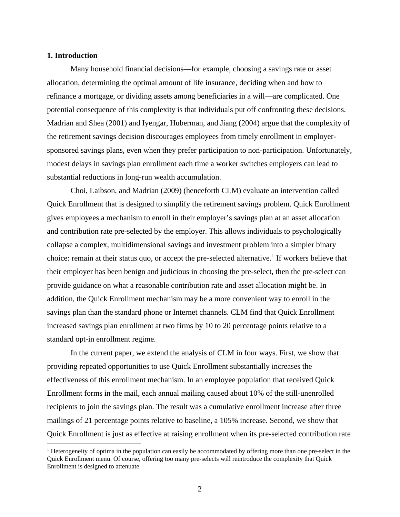# **1. Introduction**

1

 Many household financial decisions—for example, choosing a savings rate or asset allocation, determining the optimal amount of life insurance, deciding when and how to refinance a mortgage, or dividing assets among beneficiaries in a will—are complicated. One potential consequence of this complexity is that individuals put off confronting these decisions. Madrian and Shea (2001) and Iyengar, Huberman, and Jiang (2004) argue that the complexity of the retirement savings decision discourages employees from timely enrollment in employersponsored savings plans, even when they prefer participation to non-participation. Unfortunately, modest delays in savings plan enrollment each time a worker switches employers can lead to substantial reductions in long-run wealth accumulation.

Choi, Laibson, and Madrian (2009) (henceforth CLM) evaluate an intervention called Quick Enrollment that is designed to simplify the retirement savings problem. Quick Enrollment gives employees a mechanism to enroll in their employer's savings plan at an asset allocation and contribution rate pre-selected by the employer. This allows individuals to psychologically collapse a complex, multidimensional savings and investment problem into a simpler binary choice: remain at their status quo, or accept the pre-selected alternative.<sup>1</sup> If workers believe that their employer has been benign and judicious in choosing the pre-select, then the pre-select can provide guidance on what a reasonable contribution rate and asset allocation might be. In addition, the Quick Enrollment mechanism may be a more convenient way to enroll in the savings plan than the standard phone or Internet channels. CLM find that Quick Enrollment increased savings plan enrollment at two firms by 10 to 20 percentage points relative to a standard opt-in enrollment regime.

 In the current paper, we extend the analysis of CLM in four ways. First, we show that providing repeated opportunities to use Quick Enrollment substantially increases the effectiveness of this enrollment mechanism. In an employee population that received Quick Enrollment forms in the mail, each annual mailing caused about 10% of the still-unenrolled recipients to join the savings plan. The result was a cumulative enrollment increase after three mailings of 21 percentage points relative to baseline, a 105% increase. Second, we show that Quick Enrollment is just as effective at raising enrollment when its pre-selected contribution rate

<sup>&</sup>lt;sup>1</sup> Heterogeneity of optima in the population can easily be accommodated by offering more than one pre-select in the Quick Enrollment menu. Of course, offering too many pre-selects will reintroduce the complexity that Quick Enrollment is designed to attenuate.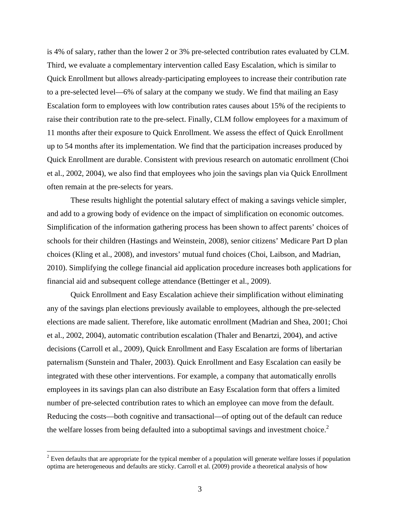is 4% of salary, rather than the lower 2 or 3% pre-selected contribution rates evaluated by CLM. Third, we evaluate a complementary intervention called Easy Escalation, which is similar to Quick Enrollment but allows already-participating employees to increase their contribution rate to a pre-selected level—6% of salary at the company we study. We find that mailing an Easy Escalation form to employees with low contribution rates causes about 15% of the recipients to raise their contribution rate to the pre-select. Finally, CLM follow employees for a maximum of 11 months after their exposure to Quick Enrollment. We assess the effect of Quick Enrollment up to 54 months after its implementation. We find that the participation increases produced by Quick Enrollment are durable. Consistent with previous research on automatic enrollment (Choi et al., 2002, 2004), we also find that employees who join the savings plan via Quick Enrollment often remain at the pre-selects for years.

 These results highlight the potential salutary effect of making a savings vehicle simpler, and add to a growing body of evidence on the impact of simplification on economic outcomes. Simplification of the information gathering process has been shown to affect parents' choices of schools for their children (Hastings and Weinstein, 2008), senior citizens' Medicare Part D plan choices (Kling et al., 2008), and investors' mutual fund choices (Choi, Laibson, and Madrian, 2010). Simplifying the college financial aid application procedure increases both applications for financial aid and subsequent college attendance (Bettinger et al., 2009).

Quick Enrollment and Easy Escalation achieve their simplification without eliminating any of the savings plan elections previously available to employees, although the pre-selected elections are made salient. Therefore, like automatic enrollment (Madrian and Shea, 2001; Choi et al., 2002, 2004), automatic contribution escalation (Thaler and Benartzi, 2004), and active decisions (Carroll et al., 2009), Quick Enrollment and Easy Escalation are forms of libertarian paternalism (Sunstein and Thaler, 2003). Quick Enrollment and Easy Escalation can easily be integrated with these other interventions. For example, a company that automatically enrolls employees in its savings plan can also distribute an Easy Escalation form that offers a limited number of pre-selected contribution rates to which an employee can move from the default. Reducing the costs—both cognitive and transactional—of opting out of the default can reduce the welfare losses from being defaulted into a suboptimal savings and investment choice.<sup>2</sup>

 $2^{2}$  Even defaults that are appropriate for the typical member of a population will generate welfare losses if population optima are heterogeneous and defaults are sticky. Carroll et al. (2009) provide a theoretical analysis of how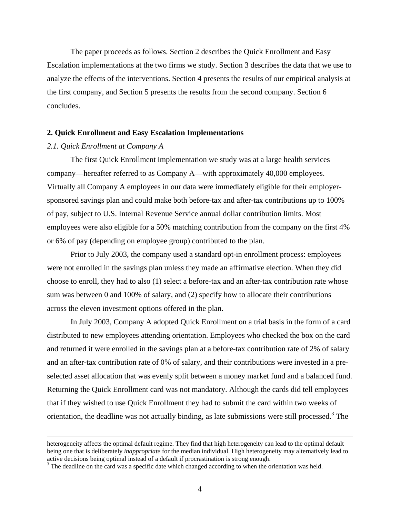The paper proceeds as follows. Section 2 describes the Quick Enrollment and Easy Escalation implementations at the two firms we study. Section 3 describes the data that we use to analyze the effects of the interventions. Section 4 presents the results of our empirical analysis at the first company, and Section 5 presents the results from the second company. Section 6 concludes.

# **2. Quick Enrollment and Easy Escalation Implementations**

#### *2.1. Quick Enrollment at Company A*

 The first Quick Enrollment implementation we study was at a large health services company—hereafter referred to as Company A—with approximately 40,000 employees. Virtually all Company A employees in our data were immediately eligible for their employersponsored savings plan and could make both before-tax and after-tax contributions up to 100% of pay, subject to U.S. Internal Revenue Service annual dollar contribution limits. Most employees were also eligible for a 50% matching contribution from the company on the first 4% or 6% of pay (depending on employee group) contributed to the plan.

 Prior to July 2003, the company used a standard opt-in enrollment process: employees were not enrolled in the savings plan unless they made an affirmative election. When they did choose to enroll, they had to also (1) select a before-tax and an after-tax contribution rate whose sum was between 0 and 100% of salary, and (2) specify how to allocate their contributions across the eleven investment options offered in the plan.

In July 2003, Company A adopted Quick Enrollment on a trial basis in the form of a card distributed to new employees attending orientation. Employees who checked the box on the card and returned it were enrolled in the savings plan at a before-tax contribution rate of 2% of salary and an after-tax contribution rate of 0% of salary, and their contributions were invested in a preselected asset allocation that was evenly split between a money market fund and a balanced fund. Returning the Quick Enrollment card was not mandatory. Although the cards did tell employees that if they wished to use Quick Enrollment they had to submit the card within two weeks of orientation, the deadline was not actually binding, as late submissions were still processed.<sup>3</sup> The

heterogeneity affects the optimal default regime. They find that high heterogeneity can lead to the optimal default being one that is deliberately *inappropriate* for the median individual. High heterogeneity may alternatively lead to active decisions being optimal instead of a default if procrastination is strong enough.

<sup>&</sup>lt;sup>3</sup> The deadline on the card was a specific date which changed according to when the orientation was held.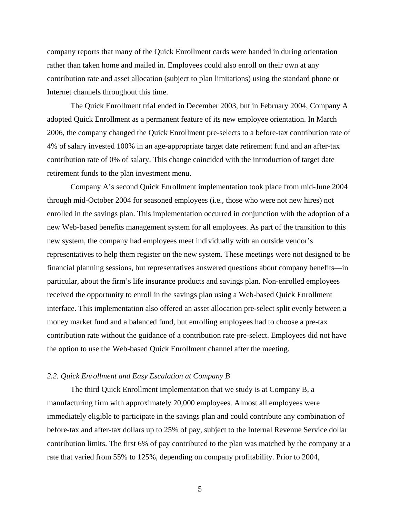company reports that many of the Quick Enrollment cards were handed in during orientation rather than taken home and mailed in. Employees could also enroll on their own at any contribution rate and asset allocation (subject to plan limitations) using the standard phone or Internet channels throughout this time.

The Quick Enrollment trial ended in December 2003, but in February 2004, Company A adopted Quick Enrollment as a permanent feature of its new employee orientation. In March 2006, the company changed the Quick Enrollment pre-selects to a before-tax contribution rate of 4% of salary invested 100% in an age-appropriate target date retirement fund and an after-tax contribution rate of 0% of salary. This change coincided with the introduction of target date retirement funds to the plan investment menu.

 Company A's second Quick Enrollment implementation took place from mid-June 2004 through mid-October 2004 for seasoned employees (i.e., those who were not new hires) not enrolled in the savings plan. This implementation occurred in conjunction with the adoption of a new Web-based benefits management system for all employees. As part of the transition to this new system, the company had employees meet individually with an outside vendor's representatives to help them register on the new system. These meetings were not designed to be financial planning sessions, but representatives answered questions about company benefits—in particular, about the firm's life insurance products and savings plan. Non-enrolled employees received the opportunity to enroll in the savings plan using a Web-based Quick Enrollment interface. This implementation also offered an asset allocation pre-select split evenly between a money market fund and a balanced fund, but enrolling employees had to choose a pre-tax contribution rate without the guidance of a contribution rate pre-select. Employees did not have the option to use the Web-based Quick Enrollment channel after the meeting.

#### *2.2. Quick Enrollment and Easy Escalation at Company B*

 The third Quick Enrollment implementation that we study is at Company B, a manufacturing firm with approximately 20,000 employees. Almost all employees were immediately eligible to participate in the savings plan and could contribute any combination of before-tax and after-tax dollars up to 25% of pay, subject to the Internal Revenue Service dollar contribution limits. The first 6% of pay contributed to the plan was matched by the company at a rate that varied from 55% to 125%, depending on company profitability. Prior to 2004,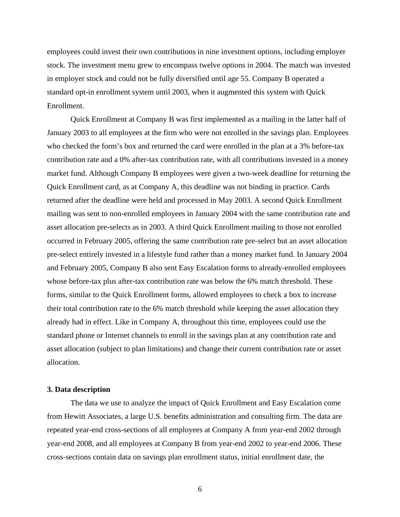employees could invest their own contributions in nine investment options, including employer stock. The investment menu grew to encompass twelve options in 2004. The match was invested in employer stock and could not be fully diversified until age 55. Company B operated a standard opt-in enrollment system until 2003, when it augmented this system with Quick Enrollment.

 Quick Enrollment at Company B was first implemented as a mailing in the latter half of January 2003 to all employees at the firm who were not enrolled in the savings plan. Employees who checked the form's box and returned the card were enrolled in the plan at a 3% before-tax contribution rate and a 0% after-tax contribution rate, with all contributions invested in a money market fund. Although Company B employees were given a two-week deadline for returning the Quick Enrollment card, as at Company A, this deadline was not binding in practice. Cards returned after the deadline were held and processed in May 2003. A second Quick Enrollment mailing was sent to non-enrolled employees in January 2004 with the same contribution rate and asset allocation pre-selects as in 2003. A third Quick Enrollment mailing to those not enrolled occurred in February 2005, offering the same contribution rate pre-select but an asset allocation pre-select entirely invested in a lifestyle fund rather than a money market fund. In January 2004 and February 2005, Company B also sent Easy Escalation forms to already-enrolled employees whose before-tax plus after-tax contribution rate was below the 6% match threshold. These forms, similar to the Quick Enrollment forms, allowed employees to check a box to increase their total contribution rate to the 6% match threshold while keeping the asset allocation they already had in effect. Like in Company A, throughout this time, employees could use the standard phone or Internet channels to enroll in the savings plan at any contribution rate and asset allocation (subject to plan limitations) and change their current contribution rate or asset allocation.

#### **3. Data description**

The data we use to analyze the impact of Quick Enrollment and Easy Escalation come from Hewitt Associates, a large U.S. benefits administration and consulting firm. The data are repeated year-end cross-sections of all employees at Company A from year-end 2002 through year-end 2008, and all employees at Company B from year-end 2002 to year-end 2006. These cross-sections contain data on savings plan enrollment status, initial enrollment date, the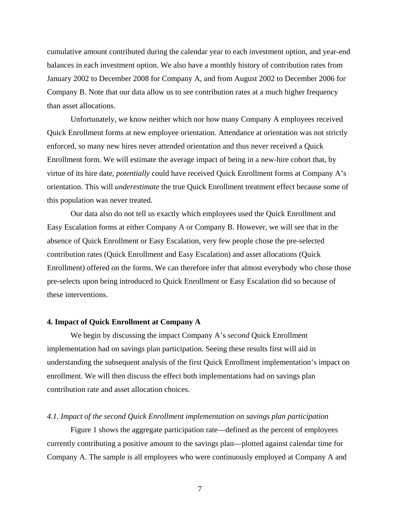cumulative amount contributed during the calendar year to each investment option, and year-end balances in each investment option. We also have a monthly history of contribution rates from January 2002 to December 2008 for Company A, and from August 2002 to December 2006 for Company B. Note that our data allow us to see contribution rates at a much higher frequency than asset allocations.

Unfortunately, we know neither which nor how many Company A employees received Quick Enrollment forms at new employee orientation. Attendance at orientation was not strictly enforced, so many new hires never attended orientation and thus never received a Quick Enrollment form. We will estimate the average impact of being in a new-hire cohort that, by virtue of its hire date, *potentially* could have received Quick Enrollment forms at Company A's orientation. This will *underestimate* the true Quick Enrollment treatment effect because some of this population was never treated.

Our data also do not tell us exactly which employees used the Quick Enrollment and Easy Escalation forms at either Company A or Company B. However, we will see that in the absence of Quick Enrollment or Easy Escalation, very few people chose the pre-selected contribution rates (Quick Enrollment and Easy Escalation) and asset allocations (Quick Enrollment) offered on the forms. We can therefore infer that almost everybody who chose those pre-selects upon being introduced to Quick Enrollment or Easy Escalation did so because of these interventions.

## **4. Impact of Quick Enrollment at Company A**

 We begin by discussing the impact Company A's *second* Quick Enrollment implementation had on savings plan participation. Seeing these results first will aid in understanding the subsequent analysis of the first Quick Enrollment implementation's impact on enrollment. We will then discuss the effect both implementations had on savings plan contribution rate and asset allocation choices.

#### *4.1. Impact of the second Quick Enrollment implementation on savings plan participation*

Figure 1 shows the aggregate participation rate—defined as the percent of employees currently contributing a positive amount to the savings plan—plotted against calendar time for Company A. The sample is all employees who were continuously employed at Company A and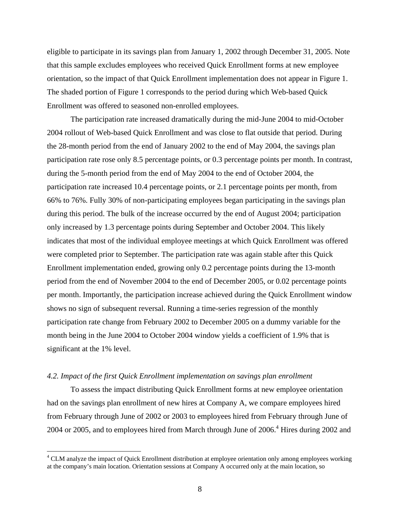eligible to participate in its savings plan from January 1, 2002 through December 31, 2005. Note that this sample excludes employees who received Quick Enrollment forms at new employee orientation, so the impact of that Quick Enrollment implementation does not appear in Figure 1. The shaded portion of Figure 1 corresponds to the period during which Web-based Quick Enrollment was offered to seasoned non-enrolled employees.

The participation rate increased dramatically during the mid-June 2004 to mid-October 2004 rollout of Web-based Quick Enrollment and was close to flat outside that period. During the 28-month period from the end of January 2002 to the end of May 2004, the savings plan participation rate rose only 8.5 percentage points, or 0.3 percentage points per month. In contrast, during the 5-month period from the end of May 2004 to the end of October 2004, the participation rate increased 10.4 percentage points, or 2.1 percentage points per month, from 66% to 76%. Fully 30% of non-participating employees began participating in the savings plan during this period. The bulk of the increase occurred by the end of August 2004; participation only increased by 1.3 percentage points during September and October 2004. This likely indicates that most of the individual employee meetings at which Quick Enrollment was offered were completed prior to September. The participation rate was again stable after this Quick Enrollment implementation ended, growing only 0.2 percentage points during the 13-month period from the end of November 2004 to the end of December 2005, or 0.02 percentage points per month. Importantly, the participation increase achieved during the Quick Enrollment window shows no sign of subsequent reversal. Running a time-series regression of the monthly participation rate change from February 2002 to December 2005 on a dummy variable for the month being in the June 2004 to October 2004 window yields a coefficient of 1.9% that is significant at the 1% level.

#### *4.2. Impact of the first Quick Enrollment implementation on savings plan enrollment*

 $\overline{a}$ 

 To assess the impact distributing Quick Enrollment forms at new employee orientation had on the savings plan enrollment of new hires at Company A, we compare employees hired from February through June of 2002 or 2003 to employees hired from February through June of 2004 or 2005, and to employees hired from March through June of 2006.<sup>4</sup> Hires during 2002 and

<sup>&</sup>lt;sup>4</sup> CLM analyze the impact of Quick Enrollment distribution at employee orientation only among employees working at the company's main location. Orientation sessions at Company A occurred only at the main location, so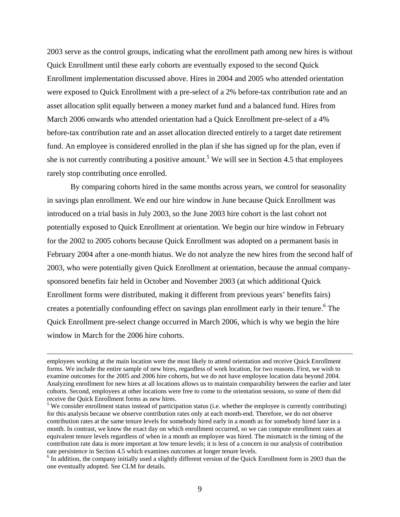2003 serve as the control groups, indicating what the enrollment path among new hires is without Quick Enrollment until these early cohorts are eventually exposed to the second Quick Enrollment implementation discussed above. Hires in 2004 and 2005 who attended orientation were exposed to Quick Enrollment with a pre-select of a 2% before-tax contribution rate and an asset allocation split equally between a money market fund and a balanced fund. Hires from March 2006 onwards who attended orientation had a Quick Enrollment pre-select of a 4% before-tax contribution rate and an asset allocation directed entirely to a target date retirement fund. An employee is considered enrolled in the plan if she has signed up for the plan, even if she is not currently contributing a positive amount.<sup>5</sup> We will see in Section 4.5 that employees rarely stop contributing once enrolled.

 By comparing cohorts hired in the same months across years, we control for seasonality in savings plan enrollment. We end our hire window in June because Quick Enrollment was introduced on a trial basis in July 2003, so the June 2003 hire cohort is the last cohort not potentially exposed to Quick Enrollment at orientation. We begin our hire window in February for the 2002 to 2005 cohorts because Quick Enrollment was adopted on a permanent basis in February 2004 after a one-month hiatus. We do not analyze the new hires from the second half of 2003, who were potentially given Quick Enrollment at orientation, because the annual companysponsored benefits fair held in October and November 2003 (at which additional Quick Enrollment forms were distributed, making it different from previous years' benefits fairs) creates a potentially confounding effect on savings plan enrollment early in their tenure.<sup>6</sup> The Quick Enrollment pre-select change occurred in March 2006, which is why we begin the hire window in March for the 2006 hire cohorts.

employees working at the main location were the most likely to attend orientation and receive Quick Enrollment forms. We include the entire sample of new hires, regardless of work location, for two reasons. First, we wish to examine outcomes for the 2005 and 2006 hire cohorts, but we do not have employee location data beyond 2004. Analyzing enrollment for new hires at all locations allows us to maintain comparability between the earlier and later cohorts. Second, employees at other locations were free to come to the orientation sessions, so some of them did receive the Quick Enrollment forms as new hires.

 $<sup>5</sup>$  We consider enrollment status instead of participation status (i.e. whether the employee is currently contributing)</sup> for this analysis because we observe contribution rates only at each month-end. Therefore, we do not observe contribution rates at the same tenure levels for somebody hired early in a month as for somebody hired later in a month. In contrast, we know the exact day on which enrollment occurred, so we can compute enrollment rates at equivalent tenure levels regardless of when in a month an employee was hired. The mismatch in the timing of the contribution rate data is more important at low tenure levels; it is less of a concern in our analysis of contribution rate persistence in Section 4.5 which examines outcomes at longer tenure levels.

<sup>&</sup>lt;sup>6</sup> In addition, the company initially used a slightly different version of the Quick Enrollment form in 2003 than the one eventually adopted. See CLM for details.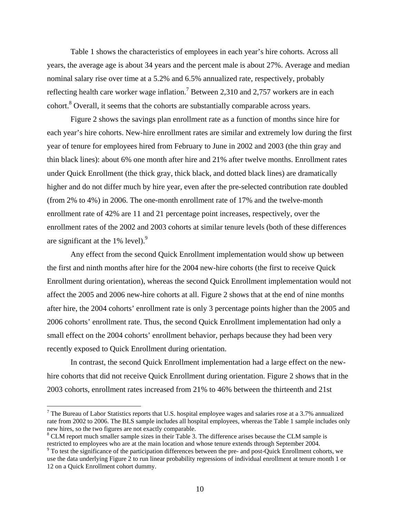Table 1 shows the characteristics of employees in each year's hire cohorts. Across all years, the average age is about 34 years and the percent male is about 27%. Average and median nominal salary rise over time at a 5.2% and 6.5% annualized rate, respectively, probably reflecting health care worker wage inflation.<sup>7</sup> Between 2,310 and 2,757 workers are in each cohort.<sup>8</sup> Overall, it seems that the cohorts are substantially comparable across years.

 Figure 2 shows the savings plan enrollment rate as a function of months since hire for each year's hire cohorts. New-hire enrollment rates are similar and extremely low during the first year of tenure for employees hired from February to June in 2002 and 2003 (the thin gray and thin black lines): about 6% one month after hire and 21% after twelve months. Enrollment rates under Quick Enrollment (the thick gray, thick black, and dotted black lines) are dramatically higher and do not differ much by hire year, even after the pre-selected contribution rate doubled (from 2% to 4%) in 2006. The one-month enrollment rate of 17% and the twelve-month enrollment rate of 42% are 11 and 21 percentage point increases, respectively, over the enrollment rates of the 2002 and 2003 cohorts at similar tenure levels (both of these differences are significant at the  $1\%$  level).<sup>9</sup>

Any effect from the second Quick Enrollment implementation would show up between the first and ninth months after hire for the 2004 new-hire cohorts (the first to receive Quick Enrollment during orientation), whereas the second Quick Enrollment implementation would not affect the 2005 and 2006 new-hire cohorts at all. Figure 2 shows that at the end of nine months after hire, the 2004 cohorts' enrollment rate is only 3 percentage points higher than the 2005 and 2006 cohorts' enrollment rate. Thus, the second Quick Enrollment implementation had only a small effect on the 2004 cohorts' enrollment behavior, perhaps because they had been very recently exposed to Quick Enrollment during orientation.

In contrast, the second Quick Enrollment implementation had a large effect on the newhire cohorts that did not receive Quick Enrollment during orientation. Figure 2 shows that in the 2003 cohorts, enrollment rates increased from 21% to 46% between the thirteenth and 21st

 $\overline{a}$ 

<sup>&</sup>lt;sup>7</sup> The Bureau of Labor Statistics reports that U.S. hospital employee wages and salaries rose at a 3.7% annualized rate from 2002 to 2006. The BLS sample includes all hospital employees, whereas the Table 1 sample includes only new hires, so the two figures are not exactly comparable.

 $8$  CLM report much smaller sample sizes in their Table 3. The difference arises because the CLM sample is restricted to employees who are at the main location and whose tenure extends through September 2004.

 $9$  To test the significance of the participation differences between the pre- and post-Quick Enrollment cohorts, we use the data underlying Figure 2 to run linear probability regressions of individual enrollment at tenure month 1 or 12 on a Quick Enrollment cohort dummy.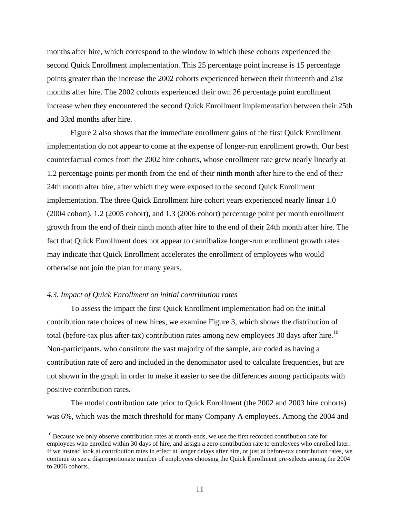months after hire, which correspond to the window in which these cohorts experienced the second Quick Enrollment implementation. This 25 percentage point increase is 15 percentage points greater than the increase the 2002 cohorts experienced between their thirteenth and 21st months after hire. The 2002 cohorts experienced their own 26 percentage point enrollment increase when they encountered the second Quick Enrollment implementation between their 25th and 33rd months after hire.

 Figure 2 also shows that the immediate enrollment gains of the first Quick Enrollment implementation do not appear to come at the expense of longer-run enrollment growth. Our best counterfactual comes from the 2002 hire cohorts, whose enrollment rate grew nearly linearly at 1.2 percentage points per month from the end of their ninth month after hire to the end of their 24th month after hire, after which they were exposed to the second Quick Enrollment implementation. The three Quick Enrollment hire cohort years experienced nearly linear 1.0 (2004 cohort), 1.2 (2005 cohort), and 1.3 (2006 cohort) percentage point per month enrollment growth from the end of their ninth month after hire to the end of their 24th month after hire. The fact that Quick Enrollment does not appear to cannibalize longer-run enrollment growth rates may indicate that Quick Enrollment accelerates the enrollment of employees who would otherwise not join the plan for many years.

# *4.3. Impact of Quick Enrollment on initial contribution rates*

 $\overline{a}$ 

To assess the impact the first Quick Enrollment implementation had on the initial contribution rate choices of new hires, we examine Figure 3, which shows the distribution of total (before-tax plus after-tax) contribution rates among new employees 30 days after hire.<sup>10</sup> Non-participants, who constitute the vast majority of the sample, are coded as having a contribution rate of zero and included in the denominator used to calculate frequencies, but are not shown in the graph in order to make it easier to see the differences among participants with positive contribution rates.

The modal contribution rate prior to Quick Enrollment (the 2002 and 2003 hire cohorts) was 6%, which was the match threshold for many Company A employees. Among the 2004 and

<sup>&</sup>lt;sup>10</sup> Because we only observe contribution rates at month-ends, we use the first recorded contribution rate for employees who enrolled within 30 days of hire, and assign a zero contribution rate to employees who enrolled later. If we instead look at contribution rates in effect at longer delays after hire, or just at before-tax contribution rates, we continue to see a disproportionate number of employees choosing the Quick Enrollment pre-selects among the 2004 to 2006 cohorts.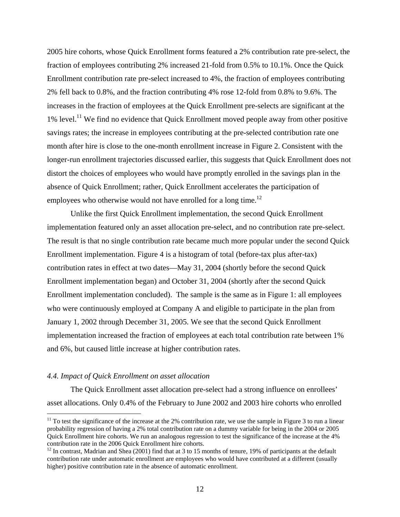2005 hire cohorts, whose Quick Enrollment forms featured a 2% contribution rate pre-select, the fraction of employees contributing 2% increased 21-fold from 0.5% to 10.1%. Once the Quick Enrollment contribution rate pre-select increased to 4%, the fraction of employees contributing 2% fell back to 0.8%, and the fraction contributing 4% rose 12-fold from 0.8% to 9.6%. The increases in the fraction of employees at the Quick Enrollment pre-selects are significant at the  $1\%$  level.<sup>11</sup> We find no evidence that Quick Enrollment moved people away from other positive savings rates; the increase in employees contributing at the pre-selected contribution rate one month after hire is close to the one-month enrollment increase in Figure 2. Consistent with the longer-run enrollment trajectories discussed earlier, this suggests that Quick Enrollment does not distort the choices of employees who would have promptly enrolled in the savings plan in the absence of Quick Enrollment; rather, Quick Enrollment accelerates the participation of employees who otherwise would not have enrolled for a long time.<sup>12</sup>

Unlike the first Quick Enrollment implementation, the second Quick Enrollment implementation featured only an asset allocation pre-select, and no contribution rate pre-select. The result is that no single contribution rate became much more popular under the second Quick Enrollment implementation. Figure 4 is a histogram of total (before-tax plus after-tax) contribution rates in effect at two dates—May 31, 2004 (shortly before the second Quick Enrollment implementation began) and October 31, 2004 (shortly after the second Quick Enrollment implementation concluded). The sample is the same as in Figure 1: all employees who were continuously employed at Company A and eligible to participate in the plan from January 1, 2002 through December 31, 2005. We see that the second Quick Enrollment implementation increased the fraction of employees at each total contribution rate between 1% and 6%, but caused little increase at higher contribution rates.

#### *4.4. Impact of Quick Enrollment on asset allocation*

 $\overline{a}$ 

The Quick Enrollment asset allocation pre-select had a strong influence on enrollees' asset allocations. Only 0.4% of the February to June 2002 and 2003 hire cohorts who enrolled

 $11$  To test the significance of the increase at the 2% contribution rate, we use the sample in Figure 3 to run a linear probability regression of having a 2% total contribution rate on a dummy variable for being in the 2004 or 2005 Quick Enrollment hire cohorts. We run an analogous regression to test the significance of the increase at the 4% contribution rate in the 2006 Quick Enrollment hire cohorts.

 $12$  In contrast, Madrian and Shea (2001) find that at 3 to 15 months of tenure, 19% of participants at the default contribution rate under automatic enrollment are employees who would have contributed at a different (usually higher) positive contribution rate in the absence of automatic enrollment.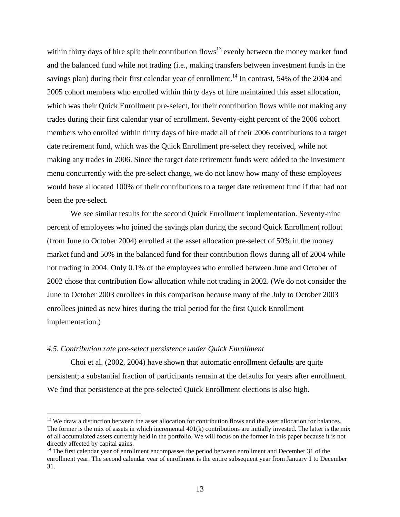within thirty days of hire split their contribution flows<sup>13</sup> evenly between the money market fund and the balanced fund while not trading (i.e., making transfers between investment funds in the savings plan) during their first calendar year of enrollment.<sup>14</sup> In contrast, 54% of the 2004 and 2005 cohort members who enrolled within thirty days of hire maintained this asset allocation, which was their Quick Enrollment pre-select, for their contribution flows while not making any trades during their first calendar year of enrollment. Seventy-eight percent of the 2006 cohort members who enrolled within thirty days of hire made all of their 2006 contributions to a target date retirement fund, which was the Quick Enrollment pre-select they received, while not making any trades in 2006. Since the target date retirement funds were added to the investment menu concurrently with the pre-select change, we do not know how many of these employees would have allocated 100% of their contributions to a target date retirement fund if that had not been the pre-select.

 We see similar results for the second Quick Enrollment implementation. Seventy-nine percent of employees who joined the savings plan during the second Quick Enrollment rollout (from June to October 2004) enrolled at the asset allocation pre-select of 50% in the money market fund and 50% in the balanced fund for their contribution flows during all of 2004 while not trading in 2004. Only 0.1% of the employees who enrolled between June and October of 2002 chose that contribution flow allocation while not trading in 2002. (We do not consider the June to October 2003 enrollees in this comparison because many of the July to October 2003 enrollees joined as new hires during the trial period for the first Quick Enrollment implementation.)

# *4.5. Contribution rate pre-select persistence under Quick Enrollment*

 $\overline{a}$ 

 Choi et al. (2002, 2004) have shown that automatic enrollment defaults are quite persistent; a substantial fraction of participants remain at the defaults for years after enrollment. We find that persistence at the pre-selected Quick Enrollment elections is also high.

<sup>&</sup>lt;sup>13</sup> We draw a distinction between the asset allocation for contribution flows and the asset allocation for balances. The former is the mix of assets in which incremental  $401(k)$  contributions are initially invested. The latter is the mix of all accumulated assets currently held in the portfolio. We will focus on the former in this paper because it is not directly affected by capital gains.

<sup>&</sup>lt;sup>14</sup> The first calendar year of enrollment encompasses the period between enrollment and December 31 of the enrollment year. The second calendar year of enrollment is the entire subsequent year from January 1 to December 31.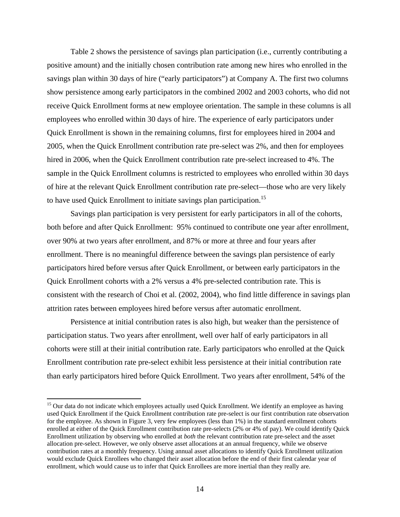Table 2 shows the persistence of savings plan participation (i.e., currently contributing a positive amount) and the initially chosen contribution rate among new hires who enrolled in the savings plan within 30 days of hire ("early participators") at Company A. The first two columns show persistence among early participators in the combined 2002 and 2003 cohorts, who did not receive Quick Enrollment forms at new employee orientation. The sample in these columns is all employees who enrolled within 30 days of hire. The experience of early participators under Quick Enrollment is shown in the remaining columns, first for employees hired in 2004 and 2005, when the Quick Enrollment contribution rate pre-select was 2%, and then for employees hired in 2006, when the Quick Enrollment contribution rate pre-select increased to 4%. The sample in the Quick Enrollment columns is restricted to employees who enrolled within 30 days of hire at the relevant Quick Enrollment contribution rate pre-select—those who are very likely to have used Quick Enrollment to initiate savings plan participation.<sup>15</sup>

Savings plan participation is very persistent for early participators in all of the cohorts, both before and after Quick Enrollment: 95% continued to contribute one year after enrollment, over 90% at two years after enrollment, and 87% or more at three and four years after enrollment. There is no meaningful difference between the savings plan persistence of early participators hired before versus after Quick Enrollment, or between early participators in the Quick Enrollment cohorts with a 2% versus a 4% pre-selected contribution rate. This is consistent with the research of Choi et al. (2002, 2004), who find little difference in savings plan attrition rates between employees hired before versus after automatic enrollment.

Persistence at initial contribution rates is also high, but weaker than the persistence of participation status. Two years after enrollment, well over half of early participators in all cohorts were still at their initial contribution rate. Early participators who enrolled at the Quick Enrollment contribution rate pre-select exhibit less persistence at their initial contribution rate than early participators hired before Quick Enrollment. Two years after enrollment, 54% of the

 $\overline{a}$ 

<sup>&</sup>lt;sup>15</sup> Our data do not indicate which employees actually used Quick Enrollment. We identify an employee as having used Quick Enrollment if the Quick Enrollment contribution rate pre-select is our first contribution rate observation for the employee. As shown in Figure 3, very few employees (less than 1%) in the standard enrollment cohorts enrolled at either of the Quick Enrollment contribution rate pre-selects (2% or 4% of pay). We could identify Quick Enrollment utilization by observing who enrolled at *both* the relevant contribution rate pre-select and the asset allocation pre-select. However, we only observe asset allocations at an annual frequency, while we observe contribution rates at a monthly frequency. Using annual asset allocations to identify Quick Enrollment utilization would exclude Quick Enrollees who changed their asset allocation before the end of their first calendar year of enrollment, which would cause us to infer that Quick Enrollees are more inertial than they really are.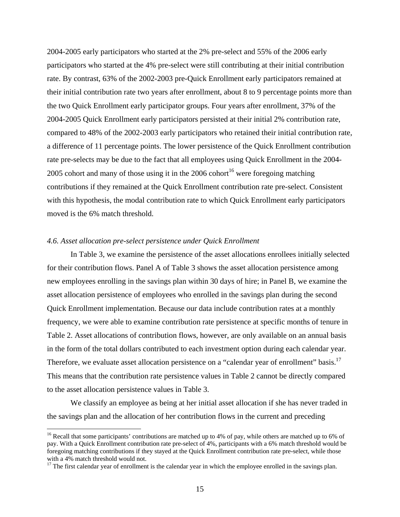2004-2005 early participators who started at the 2% pre-select and 55% of the 2006 early participators who started at the 4% pre-select were still contributing at their initial contribution rate. By contrast, 63% of the 2002-2003 pre-Quick Enrollment early participators remained at their initial contribution rate two years after enrollment, about 8 to 9 percentage points more than the two Quick Enrollment early participator groups. Four years after enrollment, 37% of the 2004-2005 Quick Enrollment early participators persisted at their initial 2% contribution rate, compared to 48% of the 2002-2003 early participators who retained their initial contribution rate, a difference of 11 percentage points. The lower persistence of the Quick Enrollment contribution rate pre-selects may be due to the fact that all employees using Quick Enrollment in the 2004- 2005 cohort and many of those using it in the 2006 cohort<sup>16</sup> were foregoing matching contributions if they remained at the Quick Enrollment contribution rate pre-select. Consistent with this hypothesis, the modal contribution rate to which Quick Enrollment early participators moved is the 6% match threshold.

### *4.6. Asset allocation pre-select persistence under Quick Enrollment*

1

In Table 3, we examine the persistence of the asset allocations enrollees initially selected for their contribution flows. Panel A of Table 3 shows the asset allocation persistence among new employees enrolling in the savings plan within 30 days of hire; in Panel B, we examine the asset allocation persistence of employees who enrolled in the savings plan during the second Quick Enrollment implementation. Because our data include contribution rates at a monthly frequency, we were able to examine contribution rate persistence at specific months of tenure in Table 2. Asset allocations of contribution flows, however, are only available on an annual basis in the form of the total dollars contributed to each investment option during each calendar year. Therefore, we evaluate asset allocation persistence on a "calendar year of enrollment" basis.<sup>17</sup> This means that the contribution rate persistence values in Table 2 cannot be directly compared to the asset allocation persistence values in Table 3.

We classify an employee as being at her initial asset allocation if she has never traded in the savings plan and the allocation of her contribution flows in the current and preceding

<sup>&</sup>lt;sup>16</sup> Recall that some participants' contributions are matched up to 4% of pay, while others are matched up to 6% of pay. With a Quick Enrollment contribution rate pre-select of 4%, participants with a 6% match threshold would be foregoing matching contributions if they stayed at the Quick Enrollment contribution rate pre-select, while those with a 4% match threshold would not.

 $17$  The first calendar year of enrollment is the calendar year in which the employee enrolled in the savings plan.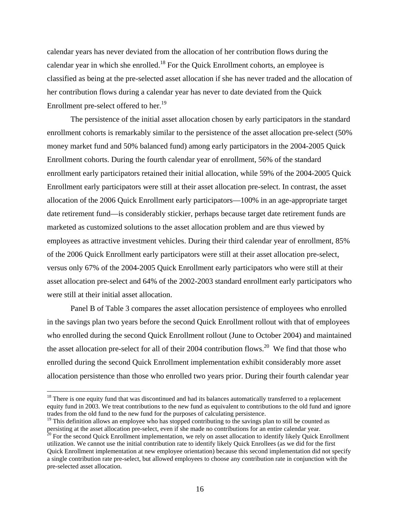calendar years has never deviated from the allocation of her contribution flows during the calendar year in which she enrolled.<sup>18</sup> For the Quick Enrollment cohorts, an employee is classified as being at the pre-selected asset allocation if she has never traded and the allocation of her contribution flows during a calendar year has never to date deviated from the Quick Enrollment pre-select offered to her.<sup>19</sup>

The persistence of the initial asset allocation chosen by early participators in the standard enrollment cohorts is remarkably similar to the persistence of the asset allocation pre-select (50% money market fund and 50% balanced fund) among early participators in the 2004-2005 Quick Enrollment cohorts. During the fourth calendar year of enrollment, 56% of the standard enrollment early participators retained their initial allocation, while 59% of the 2004-2005 Quick Enrollment early participators were still at their asset allocation pre-select. In contrast, the asset allocation of the 2006 Quick Enrollment early participators—100% in an age-appropriate target date retirement fund—is considerably stickier, perhaps because target date retirement funds are marketed as customized solutions to the asset allocation problem and are thus viewed by employees as attractive investment vehicles. During their third calendar year of enrollment, 85% of the 2006 Quick Enrollment early participators were still at their asset allocation pre-select, versus only 67% of the 2004-2005 Quick Enrollment early participators who were still at their asset allocation pre-select and 64% of the 2002-2003 standard enrollment early participators who were still at their initial asset allocation.

 Panel B of Table 3 compares the asset allocation persistence of employees who enrolled in the savings plan two years before the second Quick Enrollment rollout with that of employees who enrolled during the second Quick Enrollment rollout (June to October 2004) and maintained the asset allocation pre-select for all of their 2004 contribution flows.<sup>20</sup> We find that those who enrolled during the second Quick Enrollment implementation exhibit considerably more asset allocation persistence than those who enrolled two years prior. During their fourth calendar year

 $\overline{a}$ 

 $18$  There is one equity fund that was discontinued and had its balances automatically transferred to a replacement equity fund in 2003. We treat contributions to the new fund as equivalent to contributions to the old fund and ignore trades from the old fund to the new fund for the purposes of calculating persistence.

<sup>&</sup>lt;sup>19</sup> This definition allows an employee who has stopped contributing to the savings plan to still be counted as persisting at the asset allocation pre-select, even if she made no contributions for an entire calendar year.

 $20$  For the second Quick Enrollment implementation, we rely on asset allocation to identify likely Quick Enrollment utilization. We cannot use the initial contribution rate to identify likely Quick Enrollees (as we did for the first Quick Enrollment implementation at new employee orientation) because this second implementation did not specify a single contribution rate pre-select, but allowed employees to choose any contribution rate in conjunction with the pre-selected asset allocation.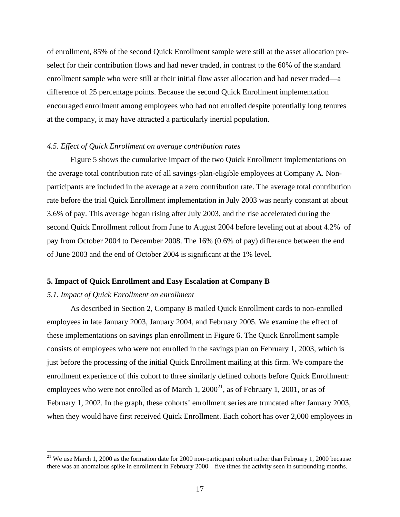of enrollment, 85% of the second Quick Enrollment sample were still at the asset allocation preselect for their contribution flows and had never traded, in contrast to the 60% of the standard enrollment sample who were still at their initial flow asset allocation and had never traded—a difference of 25 percentage points. Because the second Quick Enrollment implementation encouraged enrollment among employees who had not enrolled despite potentially long tenures at the company, it may have attracted a particularly inertial population.

#### *4.5. Effect of Quick Enrollment on average contribution rates*

Figure 5 shows the cumulative impact of the two Quick Enrollment implementations on the average total contribution rate of all savings-plan-eligible employees at Company A. Nonparticipants are included in the average at a zero contribution rate. The average total contribution rate before the trial Quick Enrollment implementation in July 2003 was nearly constant at about 3.6% of pay. This average began rising after July 2003, and the rise accelerated during the second Quick Enrollment rollout from June to August 2004 before leveling out at about 4.2% of pay from October 2004 to December 2008. The 16% (0.6% of pay) difference between the end of June 2003 and the end of October 2004 is significant at the 1% level.

#### **5. Impact of Quick Enrollment and Easy Escalation at Company B**

#### *5.1. Impact of Quick Enrollment on enrollment*

 $\overline{a}$ 

 As described in Section 2, Company B mailed Quick Enrollment cards to non-enrolled employees in late January 2003, January 2004, and February 2005. We examine the effect of these implementations on savings plan enrollment in Figure 6. The Quick Enrollment sample consists of employees who were not enrolled in the savings plan on February 1, 2003, which is just before the processing of the initial Quick Enrollment mailing at this firm. We compare the enrollment experience of this cohort to three similarly defined cohorts before Quick Enrollment: employees who were not enrolled as of March 1,  $2000^{21}$ , as of February 1, 2001, or as of February 1, 2002. In the graph, these cohorts' enrollment series are truncated after January 2003, when they would have first received Quick Enrollment. Each cohort has over 2,000 employees in

<sup>&</sup>lt;sup>21</sup> We use March 1, 2000 as the formation date for 2000 non-participant cohort rather than February 1, 2000 because there was an anomalous spike in enrollment in February 2000—five times the activity seen in surrounding months.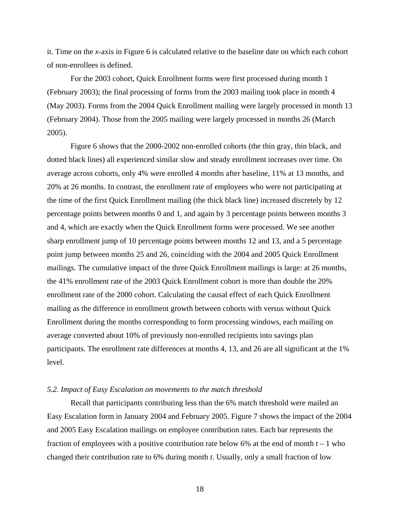it. Time on the *x*-axis in Figure 6 is calculated relative to the baseline date on which each cohort of non-enrollees is defined.

For the 2003 cohort, Quick Enrollment forms were first processed during month 1 (February 2003); the final processing of forms from the 2003 mailing took place in month 4 (May 2003). Forms from the 2004 Quick Enrollment mailing were largely processed in month 13 (February 2004). Those from the 2005 mailing were largely processed in months 26 (March 2005).

 Figure 6 shows that the 2000-2002 non-enrolled cohorts (the thin gray, thin black, and dotted black lines) all experienced similar slow and steady enrollment increases over time. On average across cohorts, only 4% were enrolled 4 months after baseline, 11% at 13 months, and 20% at 26 months. In contrast, the enrollment rate of employees who were not participating at the time of the first Quick Enrollment mailing (the thick black line) increased discretely by 12 percentage points between months 0 and 1, and again by 3 percentage points between months 3 and 4, which are exactly when the Quick Enrollment forms were processed. We see another sharp enrollment jump of 10 percentage points between months 12 and 13, and a 5 percentage point jump between months 25 and 26, coinciding with the 2004 and 2005 Quick Enrollment mailings. The cumulative impact of the three Quick Enrollment mailings is large: at 26 months, the 41% enrollment rate of the 2003 Quick Enrollment cohort is more than double the 20% enrollment rate of the 2000 cohort. Calculating the causal effect of each Quick Enrollment mailing as the difference in enrollment growth between cohorts with versus without Quick Enrollment during the months corresponding to form processing windows, each mailing on average converted about 10% of previously non-enrolled recipients into savings plan participants. The enrollment rate differences at months 4, 13, and 26 are all significant at the 1% level.

#### *5.2. Impact of Easy Escalation on movements to the match threshold*

Recall that participants contributing less than the 6% match threshold were mailed an Easy Escalation form in January 2004 and February 2005. Figure 7 shows the impact of the 2004 and 2005 Easy Escalation mailings on employee contribution rates. Each bar represents the fraction of employees with a positive contribution rate below 6% at the end of month  $t - 1$  who changed their contribution rate to 6% during month *t*. Usually, only a small fraction of low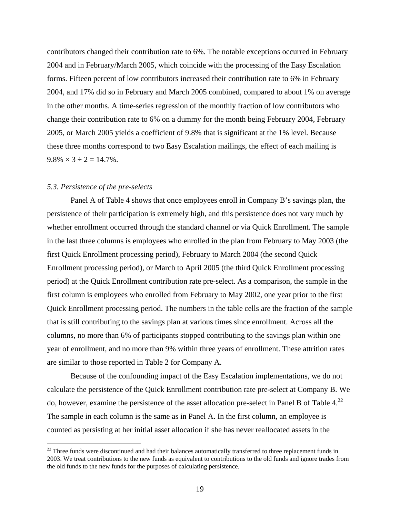contributors changed their contribution rate to 6%. The notable exceptions occurred in February 2004 and in February/March 2005, which coincide with the processing of the Easy Escalation forms. Fifteen percent of low contributors increased their contribution rate to 6% in February 2004, and 17% did so in February and March 2005 combined, compared to about 1% on average in the other months. A time-series regression of the monthly fraction of low contributors who change their contribution rate to 6% on a dummy for the month being February 2004, February 2005, or March 2005 yields a coefficient of 9.8% that is significant at the 1% level. Because these three months correspond to two Easy Escalation mailings, the effect of each mailing is  $9.8\% \times 3 \div 2 = 14.7\%$ .

# *5.3. Persistence of the pre-selects*

1

 Panel A of Table 4 shows that once employees enroll in Company B's savings plan, the persistence of their participation is extremely high, and this persistence does not vary much by whether enrollment occurred through the standard channel or via Quick Enrollment. The sample in the last three columns is employees who enrolled in the plan from February to May 2003 (the first Quick Enrollment processing period), February to March 2004 (the second Quick Enrollment processing period), or March to April 2005 (the third Quick Enrollment processing period) at the Quick Enrollment contribution rate pre-select. As a comparison, the sample in the first column is employees who enrolled from February to May 2002, one year prior to the first Quick Enrollment processing period. The numbers in the table cells are the fraction of the sample that is still contributing to the savings plan at various times since enrollment. Across all the columns, no more than 6% of participants stopped contributing to the savings plan within one year of enrollment, and no more than 9% within three years of enrollment. These attrition rates are similar to those reported in Table 2 for Company A.

 Because of the confounding impact of the Easy Escalation implementations, we do not calculate the persistence of the Quick Enrollment contribution rate pre-select at Company B. We do, however, examine the persistence of the asset allocation pre-select in Panel B of Table  $4.^{22}$ The sample in each column is the same as in Panel A. In the first column, an employee is counted as persisting at her initial asset allocation if she has never reallocated assets in the

<sup>&</sup>lt;sup>22</sup> Three funds were discontinued and had their balances automatically transferred to three replacement funds in 2003. We treat contributions to the new funds as equivalent to contributions to the old funds and ignore trades from the old funds to the new funds for the purposes of calculating persistence.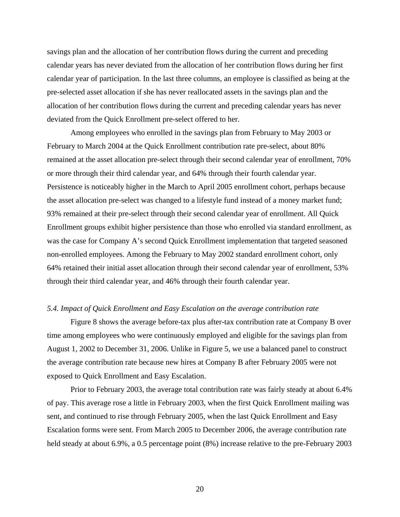savings plan and the allocation of her contribution flows during the current and preceding calendar years has never deviated from the allocation of her contribution flows during her first calendar year of participation. In the last three columns, an employee is classified as being at the pre-selected asset allocation if she has never reallocated assets in the savings plan and the allocation of her contribution flows during the current and preceding calendar years has never deviated from the Quick Enrollment pre-select offered to her.

Among employees who enrolled in the savings plan from February to May 2003 or February to March 2004 at the Quick Enrollment contribution rate pre-select, about 80% remained at the asset allocation pre-select through their second calendar year of enrollment, 70% or more through their third calendar year, and 64% through their fourth calendar year. Persistence is noticeably higher in the March to April 2005 enrollment cohort, perhaps because the asset allocation pre-select was changed to a lifestyle fund instead of a money market fund; 93% remained at their pre-select through their second calendar year of enrollment. All Quick Enrollment groups exhibit higher persistence than those who enrolled via standard enrollment, as was the case for Company A's second Quick Enrollment implementation that targeted seasoned non-enrolled employees. Among the February to May 2002 standard enrollment cohort, only 64% retained their initial asset allocation through their second calendar year of enrollment, 53% through their third calendar year, and 46% through their fourth calendar year.

# *5.4. Impact of Quick Enrollment and Easy Escalation on the average contribution rate*

 Figure 8 shows the average before-tax plus after-tax contribution rate at Company B over time among employees who were continuously employed and eligible for the savings plan from August 1, 2002 to December 31, 2006. Unlike in Figure 5, we use a balanced panel to construct the average contribution rate because new hires at Company B after February 2005 were not exposed to Quick Enrollment and Easy Escalation.

 Prior to February 2003, the average total contribution rate was fairly steady at about 6.4% of pay. This average rose a little in February 2003, when the first Quick Enrollment mailing was sent, and continued to rise through February 2005, when the last Quick Enrollment and Easy Escalation forms were sent. From March 2005 to December 2006, the average contribution rate held steady at about 6.9%, a 0.5 percentage point  $(8\%)$  increase relative to the pre-February 2003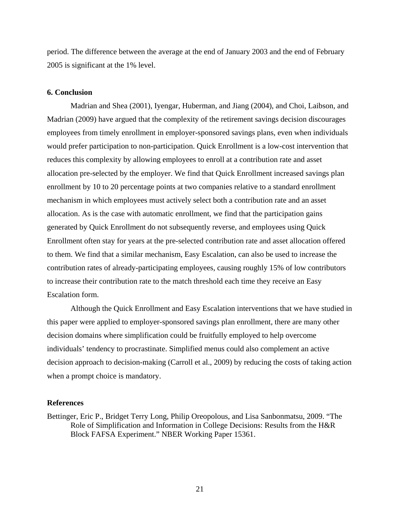period. The difference between the average at the end of January 2003 and the end of February 2005 is significant at the 1% level.

# **6. Conclusion**

 Madrian and Shea (2001), Iyengar, Huberman, and Jiang (2004), and Choi, Laibson, and Madrian (2009) have argued that the complexity of the retirement savings decision discourages employees from timely enrollment in employer-sponsored savings plans, even when individuals would prefer participation to non-participation. Quick Enrollment is a low-cost intervention that reduces this complexity by allowing employees to enroll at a contribution rate and asset allocation pre-selected by the employer. We find that Quick Enrollment increased savings plan enrollment by 10 to 20 percentage points at two companies relative to a standard enrollment mechanism in which employees must actively select both a contribution rate and an asset allocation. As is the case with automatic enrollment, we find that the participation gains generated by Quick Enrollment do not subsequently reverse, and employees using Quick Enrollment often stay for years at the pre-selected contribution rate and asset allocation offered to them. We find that a similar mechanism, Easy Escalation, can also be used to increase the contribution rates of already-participating employees, causing roughly 15% of low contributors to increase their contribution rate to the match threshold each time they receive an Easy Escalation form.

 Although the Quick Enrollment and Easy Escalation interventions that we have studied in this paper were applied to employer-sponsored savings plan enrollment, there are many other decision domains where simplification could be fruitfully employed to help overcome individuals' tendency to procrastinate. Simplified menus could also complement an active decision approach to decision-making (Carroll et al., 2009) by reducing the costs of taking action when a prompt choice is mandatory.

## **References**

Bettinger, Eric P., Bridget Terry Long, Philip Oreopolous, and Lisa Sanbonmatsu, 2009. "The Role of Simplification and Information in College Decisions: Results from the H&R Block FAFSA Experiment." NBER Working Paper 15361.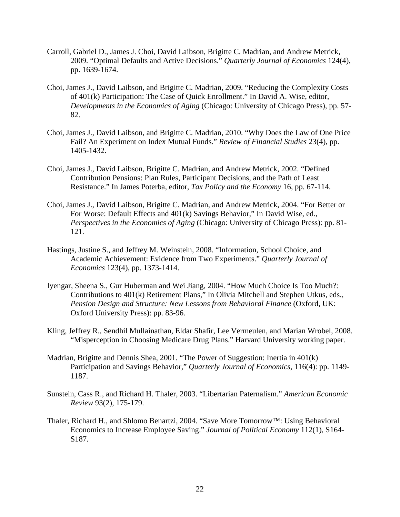- Carroll, Gabriel D., James J. Choi, David Laibson, Brigitte C. Madrian, and Andrew Metrick, 2009. "Optimal Defaults and Active Decisions." *Quarterly Journal of Economics* 124(4), pp. 1639-1674.
- Choi, James J., David Laibson, and Brigitte C. Madrian, 2009. "Reducing the Complexity Costs of 401(k) Participation: The Case of Quick Enrollment." In David A. Wise, editor, *Developments in the Economics of Aging* (Chicago: University of Chicago Press), pp. 57- 82.
- Choi, James J., David Laibson, and Brigitte C. Madrian, 2010. "Why Does the Law of One Price Fail? An Experiment on Index Mutual Funds." *Review of Financial Studies* 23(4), pp. 1405-1432.
- Choi, James J., David Laibson, Brigitte C. Madrian, and Andrew Metrick, 2002. "Defined Contribution Pensions: Plan Rules, Participant Decisions, and the Path of Least Resistance." In James Poterba, editor, *Tax Policy and the Economy* 16, pp. 67-114.
- Choi, James J., David Laibson, Brigitte C. Madrian, and Andrew Metrick, 2004. "For Better or For Worse: Default Effects and 401(k) Savings Behavior," In David Wise, ed., *Perspectives in the Economics of Aging* (Chicago: University of Chicago Press): pp. 81- 121.
- Hastings, Justine S., and Jeffrey M. Weinstein, 2008. "Information, School Choice, and Academic Achievement: Evidence from Two Experiments." *Quarterly Journal of Economics* 123(4), pp. 1373-1414.
- Iyengar, Sheena S., Gur Huberman and Wei Jiang, 2004. "How Much Choice Is Too Much?: Contributions to 401(k) Retirement Plans," In Olivia Mitchell and Stephen Utkus, eds., *Pension Design and Structure: New Lessons from Behavioral Finance* (Oxford, UK: Oxford University Press): pp. 83-96.
- Kling, Jeffrey R., Sendhil Mullainathan, Eldar Shafir, Lee Vermeulen, and Marian Wrobel, 2008. "Misperception in Choosing Medicare Drug Plans." Harvard University working paper.
- Madrian, Brigitte and Dennis Shea, 2001. "The Power of Suggestion: Inertia in 401(k) Participation and Savings Behavior," *Quarterly Journal of Economics*, 116(4): pp. 1149- 1187.
- Sunstein, Cass R., and Richard H. Thaler, 2003. "Libertarian Paternalism." *American Economic Review* 93(2), 175-179.
- Thaler, Richard H., and Shlomo Benartzi, 2004. "Save More Tomorrow™: Using Behavioral Economics to Increase Employee Saving." *Journal of Political Economy* 112(1), S164- S187.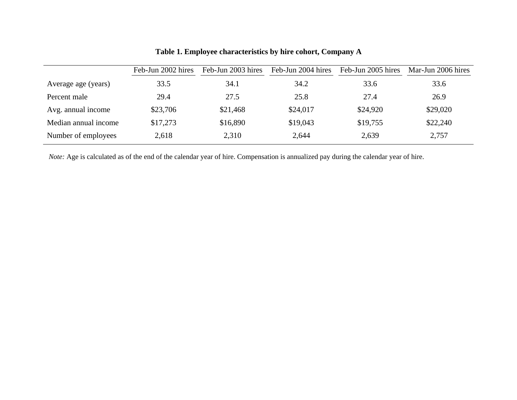|                      | Feb-Jun 2002 hires | Feb-Jun 2003 hires | Feb-Jun 2004 hires | Feb-Jun 2005 hires | Mar-Jun 2006 hires |
|----------------------|--------------------|--------------------|--------------------|--------------------|--------------------|
| Average age (years)  | 33.5               | 34.1               | 34.2               | 33.6               | 33.6               |
| Percent male         | 29.4               | 27.5               | 25.8               | 27.4               | 26.9               |
| Avg. annual income   | \$23,706           | \$21,468           | \$24,017           | \$24,920           | \$29,020           |
| Median annual income | \$17,273           | \$16,890           | \$19,043           | \$19,755           | \$22,240           |
| Number of employees  | 2,618              | 2,310              | 2,644              | 2,639              | 2,757              |

# **Table 1. Employee characteristics by hire cohort, Company A**

*Note:* Age is calculated as of the end of the calendar year of hire. Compensation is annualized pay during the calendar year of hire.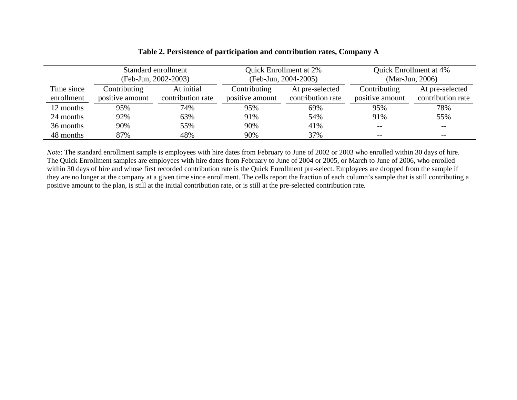|            | Standard enrollment<br>(Feb-Jun, 2002-2003) |                   | Quick Enrollment at 2%<br>(Feb-Jun, 2004-2005) |                   | Quick Enrollment at 4%<br>(Mar-Jun, 2006) |                   |
|------------|---------------------------------------------|-------------------|------------------------------------------------|-------------------|-------------------------------------------|-------------------|
| Time since | Contributing                                | At initial        | Contributing                                   | At pre-selected   | Contributing                              | At pre-selected   |
| enrollment | positive amount                             | contribution rate | positive amount                                | contribution rate | positive amount                           | contribution rate |
| 12 months  | 95%                                         | 74%               | 95%                                            | 69%               | 95%                                       | 78%               |
| 24 months  | 92%                                         | 63%               | 91%                                            | 54%               | 91%                                       | 55%               |
| 36 months  | 90%                                         | 55%               | 90%                                            | 41%               | $- -$                                     | $- -$             |
| 48 months  | 87%                                         | 48%               | 90%                                            | 37%               | $\overline{\phantom{m}}$                  | $- -$             |

# **Table 2. Persistence of participation and contribution rates, Company A**

*Note*: The standard enrollment sample is employees with hire dates from February to June of 2002 or 2003 who enrolled within 30 days of hire. The Quick Enrollment samples are employees with hire dates from February to June of 2004 or 2005, or March to June of 2006, who enrolled within 30 days of hire and whose first recorded contribution rate is the Quick Enrollment pre-select. Employees are dropped from the sample if they are no longer at the company at a given time since enrollment. The cells report the fraction of each column's sample that is still contributing a positive amount to the plan, is still at the initial contribution rate, or is still at the pre-selected contribution rate.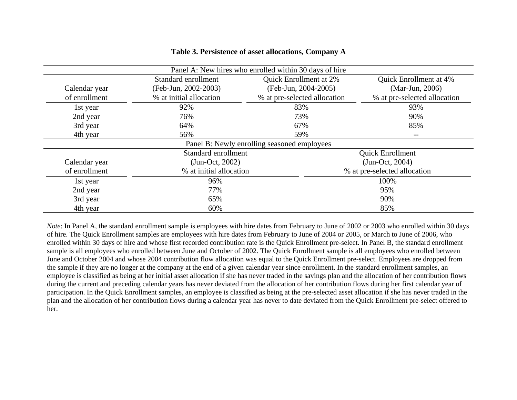| Panel A: New hires who enrolled within 30 days of hire |                                             |                              |                              |  |  |  |  |
|--------------------------------------------------------|---------------------------------------------|------------------------------|------------------------------|--|--|--|--|
|                                                        | Standard enrollment                         | Quick Enrollment at 2%       | Quick Enrollment at 4%       |  |  |  |  |
| Calendar year                                          | (Feb-Jun, 2002-2003)                        | (Feb-Jun, 2004-2005)         | (Mar-Jun, 2006)              |  |  |  |  |
| of enrollment                                          | % at initial allocation                     | % at pre-selected allocation | % at pre-selected allocation |  |  |  |  |
| 1st year                                               | 92%                                         | 83%                          | 93%                          |  |  |  |  |
| 2nd year                                               | 76%                                         | 73%                          | 90%                          |  |  |  |  |
| 3rd year                                               | 64%                                         | 67%                          | 85%                          |  |  |  |  |
| 4th year                                               | 56%                                         | 59%                          | $- -$                        |  |  |  |  |
|                                                        | Panel B: Newly enrolling seasoned employees |                              |                              |  |  |  |  |
|                                                        | Standard enrollment                         |                              | <b>Quick Enrollment</b>      |  |  |  |  |
| Calendar year                                          | $(Jun-Oct, 2002)$                           |                              | $(Jun-Oct, 2004)$            |  |  |  |  |
| of enrollment                                          | % at initial allocation                     |                              | % at pre-selected allocation |  |  |  |  |
| 1st year                                               | 96%                                         |                              | 100%                         |  |  |  |  |
| 2nd year                                               | 77%                                         |                              | 95%                          |  |  |  |  |
| 3rd year                                               | 65%                                         |                              | 90%                          |  |  |  |  |
| 4th year                                               | 60%                                         |                              | 85%                          |  |  |  |  |

# **Table 3. Persistence of asset allocations, Company A**

*Note*: In Panel A, the standard enrollment sample is employees with hire dates from February to June of 2002 or 2003 who enrolled within 30 days of hire. The Quick Enrollment samples are employees with hire dates from February to June of 2004 or 2005, or March to June of 2006, who enrolled within 30 days of hire and whose first recorded contribution rate is the Quick Enrollment pre-select. In Panel B, the standard enrollment sample is all employees who enrolled between June and October of 2002. The Quick Enrollment sample is all employees who enrolled between June and October 2004 and whose 2004 contribution flow allocation was equal to the Quick Enrollment pre-select. Employees are dropped from the sample if they are no longer at the company at the end of a given calendar year since enrollment. In the standard enrollment samples, an employee is classified as being at her initial asset allocation if she has never traded in the savings plan and the allocation of her contribution flows during the current and preceding calendar years has never deviated from the allocation of her contribution flows during her first calendar year of participation. In the Quick Enrollment samples, an employee is classified as being at the pre-selected asset allocation if she has never traded in the plan and the allocation of her contribution flows during a calendar year has never to date deviated from the Quick Enrollment pre-select offered to her.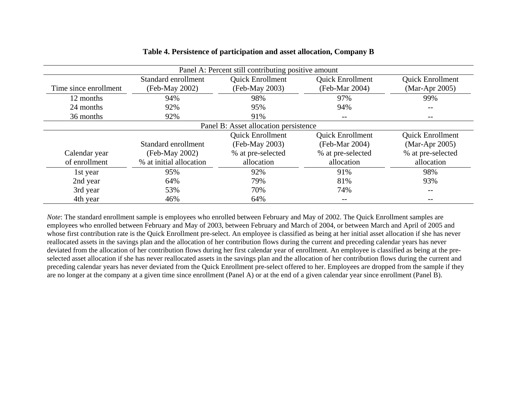| Panel A: Percent still contributing positive amount |                         |                         |                         |                         |  |  |
|-----------------------------------------------------|-------------------------|-------------------------|-------------------------|-------------------------|--|--|
|                                                     | Standard enrollment     | <b>Quick Enrollment</b> | <b>Quick Enrollment</b> | <b>Quick Enrollment</b> |  |  |
| Time since enrollment                               | (Feb-May 2002)          | (Feb-May 2003)          | (Feb-Mar 2004)          | (Mar-Apr 2005)          |  |  |
| 12 months                                           | 94%                     | 98%                     | 97%                     | 99%                     |  |  |
| 24 months                                           | 92%                     | 95%                     | 94%                     |                         |  |  |
| 36 months                                           | 92%                     | 91%                     | $- -$                   | --                      |  |  |
| Panel B: Asset allocation persistence               |                         |                         |                         |                         |  |  |
|                                                     |                         | <b>Quick Enrollment</b> | <b>Quick Enrollment</b> | <b>Quick Enrollment</b> |  |  |
|                                                     | Standard enrollment     | (Feb-May 2003)          | (Feb-Mar 2004)          | $(Mar-Apr 2005)$        |  |  |
| Calendar year                                       | (Feb-May 2002)          | % at pre-selected       | % at pre-selected       | % at pre-selected       |  |  |
| of enrollment                                       | % at initial allocation | allocation              | allocation              | allocation              |  |  |
| 1st year                                            | 95%                     | 92%                     | 91%                     | 98%                     |  |  |
| 2nd year                                            | 64%                     | 79%                     | 81%                     | 93%                     |  |  |
| 3rd year                                            | 53%                     | 70%                     | 74%                     | --                      |  |  |
| 4th year                                            | 46%                     | 64%                     | $- -$                   |                         |  |  |

# **Table 4. Persistence of participation and asset allocation, Company B**

*Note*: The standard enrollment sample is employees who enrolled between February and May of 2002. The Quick Enrollment samples are employees who enrolled between February and May of 2003, between February and March of 2004, or between March and April of 2005 and whose first contribution rate is the Quick Enrollment pre-select. An employee is classified as being at her initial asset allocation if she has never reallocated assets in the savings plan and the allocation of her contribution flows during the current and preceding calendar years has never deviated from the allocation of her contribution flows during her first calendar year of enrollment. An employee is classified as being at the preselected asset allocation if she has never reallocated assets in the savings plan and the allocation of her contribution flows during the current and preceding calendar years has never deviated from the Quick Enrollment pre-select offered to her. Employees are dropped from the sample if they are no longer at the company at a given time since enrollment (Panel A) or at the end of a given calendar year since enrollment (Panel B).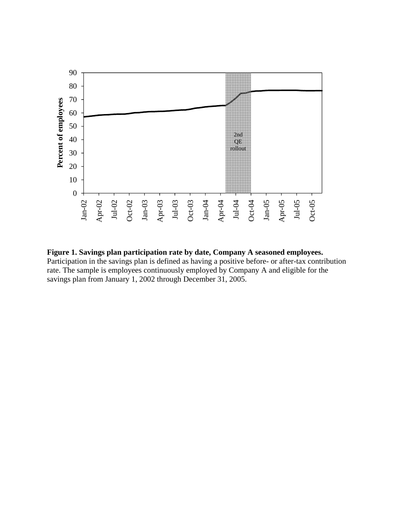

**Figure 1. Savings plan participation rate by date, Company A seasoned employees.** Participation in the savings plan is defined as having a positive before- or after-tax contribution rate. The sample is employees continuously employed by Company A and eligible for the savings plan from January 1, 2002 through December 31, 2005.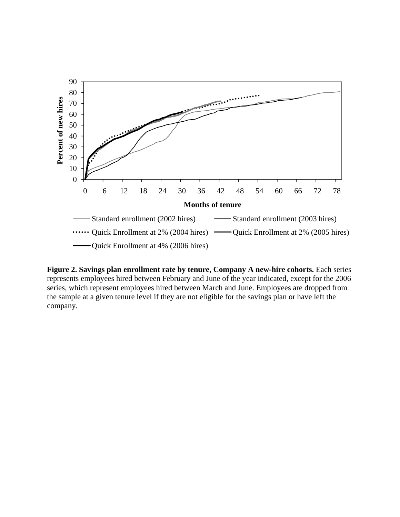

**Figure 2. Savings plan enrollment rate by tenure, Company A new-hire cohorts.** Each series represents employees hired between February and June of the year indicated, except for the 2006 series, which represent employees hired between March and June. Employees are dropped from the sample at a given tenure level if they are not eligible for the savings plan or have left the company.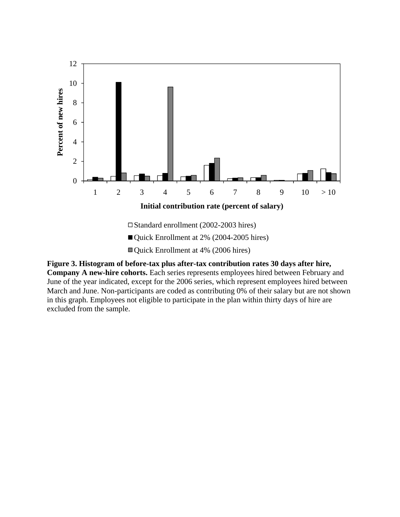

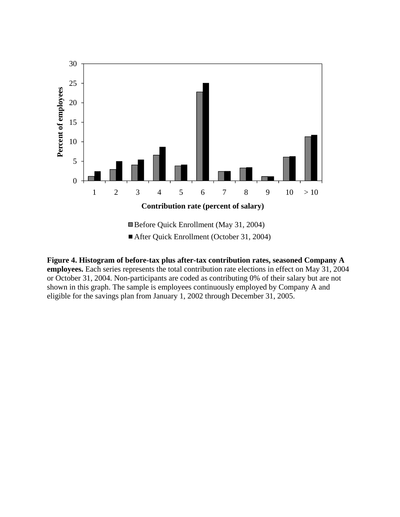

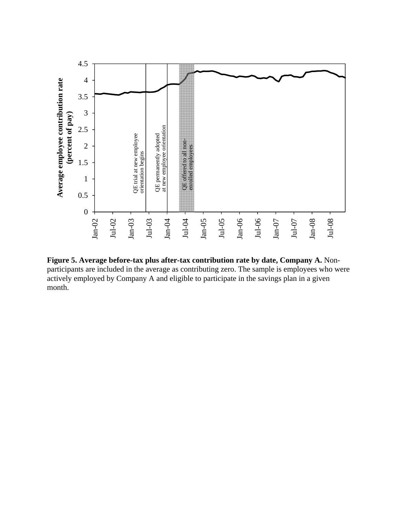

**Figure 5. Average before-tax plus after-tax contribution rate by date, Company A.** Nonparticipants are included in the average as contributing zero. The sample is employees who were actively employed by Company A and eligible to participate in the savings plan in a given month.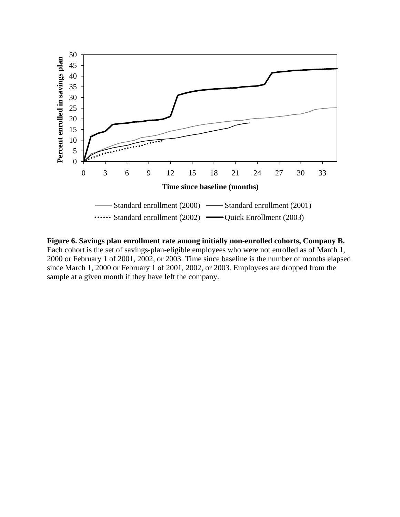

**Figure 6. Savings plan enrollment rate among initially non-enrolled cohorts, Company B.** Each cohort is the set of savings-plan-eligible employees who were not enrolled as of March 1, 2000 or February 1 of 2001, 2002, or 2003. Time since baseline is the number of months elapsed since March 1, 2000 or February 1 of 2001, 2002, or 2003. Employees are dropped from the sample at a given month if they have left the company.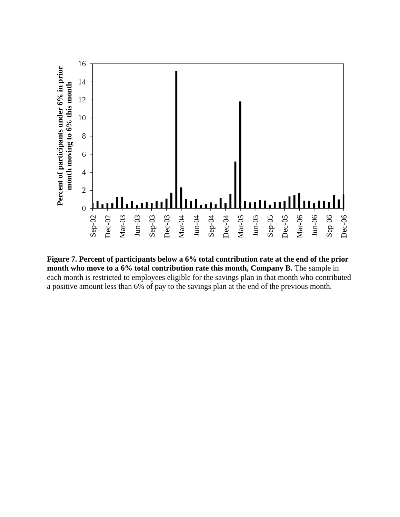